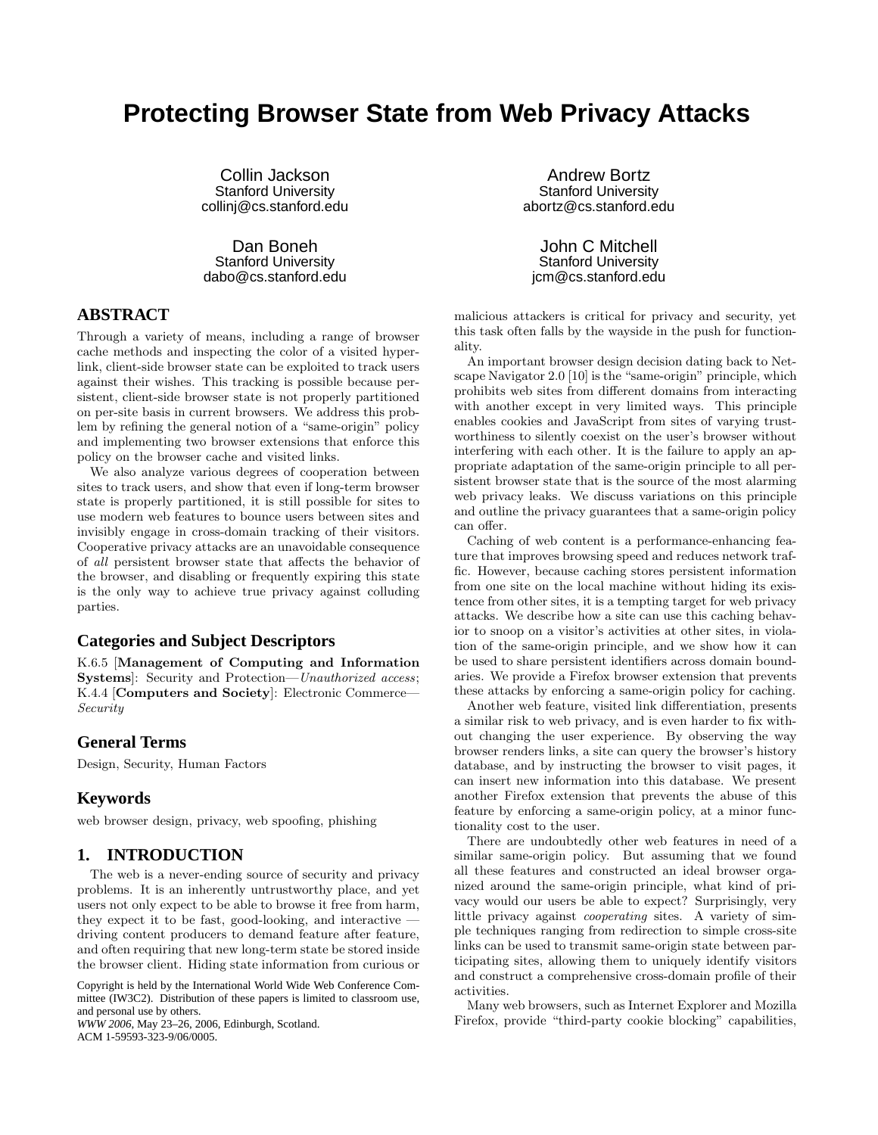# **Protecting Browser State from Web Privacy Attacks**

Collin Jackson Stanford University collinj@cs.stanford.edu

Dan Boneh Stanford University dabo@cs.stanford.edu

# **ABSTRACT**

Through a variety of means, including a range of browser cache methods and inspecting the color of a visited hyperlink, client-side browser state can be exploited to track users against their wishes. This tracking is possible because persistent, client-side browser state is not properly partitioned on per-site basis in current browsers. We address this problem by refining the general notion of a "same-origin" policy and implementing two browser extensions that enforce this policy on the browser cache and visited links.

We also analyze various degrees of cooperation between sites to track users, and show that even if long-term browser state is properly partitioned, it is still possible for sites to use modern web features to bounce users between sites and invisibly engage in cross-domain tracking of their visitors. Cooperative privacy attacks are an unavoidable consequence of all persistent browser state that affects the behavior of the browser, and disabling or frequently expiring this state is the only way to achieve true privacy against colluding parties.

## **Categories and Subject Descriptors**

K.6.5 [Management of Computing and Information Systems]: Security and Protection—Unauthorized access; K.4.4 [Computers and Society]: Electronic Commerce— Security

# **General Terms**

Design, Security, Human Factors

# **Keywords**

web browser design, privacy, web spoofing, phishing

## **1. INTRODUCTION**

The web is a never-ending source of security and privacy problems. It is an inherently untrustworthy place, and yet users not only expect to be able to browse it free from harm, they expect it to be fast, good-looking, and interactive – driving content producers to demand feature after feature, and often requiring that new long-term state be stored inside the browser client. Hiding state information from curious or

Copyright is held by the International World Wide Web Conference Committee (IW3C2). Distribution of these papers is limited to classroom use, and personal use by others.

*WWW 2006*, May 23–26, 2006, Edinburgh, Scotland. ACM 1-59593-323-9/06/0005.

Andrew Bortz Stanford University abortz@cs.stanford.edu

John C Mitchell Stanford University jcm@cs.stanford.edu

malicious attackers is critical for privacy and security, yet this task often falls by the wayside in the push for functionality.

An important browser design decision dating back to Netscape Navigator 2.0 [10] is the "same-origin" principle, which prohibits web sites from different domains from interacting with another except in very limited ways. This principle enables cookies and JavaScript from sites of varying trustworthiness to silently coexist on the user's browser without interfering with each other. It is the failure to apply an appropriate adaptation of the same-origin principle to all persistent browser state that is the source of the most alarming web privacy leaks. We discuss variations on this principle and outline the privacy guarantees that a same-origin policy can offer.

Caching of web content is a performance-enhancing feature that improves browsing speed and reduces network traffic. However, because caching stores persistent information from one site on the local machine without hiding its existence from other sites, it is a tempting target for web privacy attacks. We describe how a site can use this caching behavior to snoop on a visitor's activities at other sites, in violation of the same-origin principle, and we show how it can be used to share persistent identifiers across domain boundaries. We provide a Firefox browser extension that prevents these attacks by enforcing a same-origin policy for caching.

Another web feature, visited link differentiation, presents a similar risk to web privacy, and is even harder to fix without changing the user experience. By observing the way browser renders links, a site can query the browser's history database, and by instructing the browser to visit pages, it can insert new information into this database. We present another Firefox extension that prevents the abuse of this feature by enforcing a same-origin policy, at a minor functionality cost to the user.

There are undoubtedly other web features in need of a similar same-origin policy. But assuming that we found all these features and constructed an ideal browser organized around the same-origin principle, what kind of privacy would our users be able to expect? Surprisingly, very little privacy against cooperating sites. A variety of simple techniques ranging from redirection to simple cross-site links can be used to transmit same-origin state between participating sites, allowing them to uniquely identify visitors and construct a comprehensive cross-domain profile of their activities.

Many web browsers, such as Internet Explorer and Mozilla Firefox, provide "third-party cookie blocking" capabilities,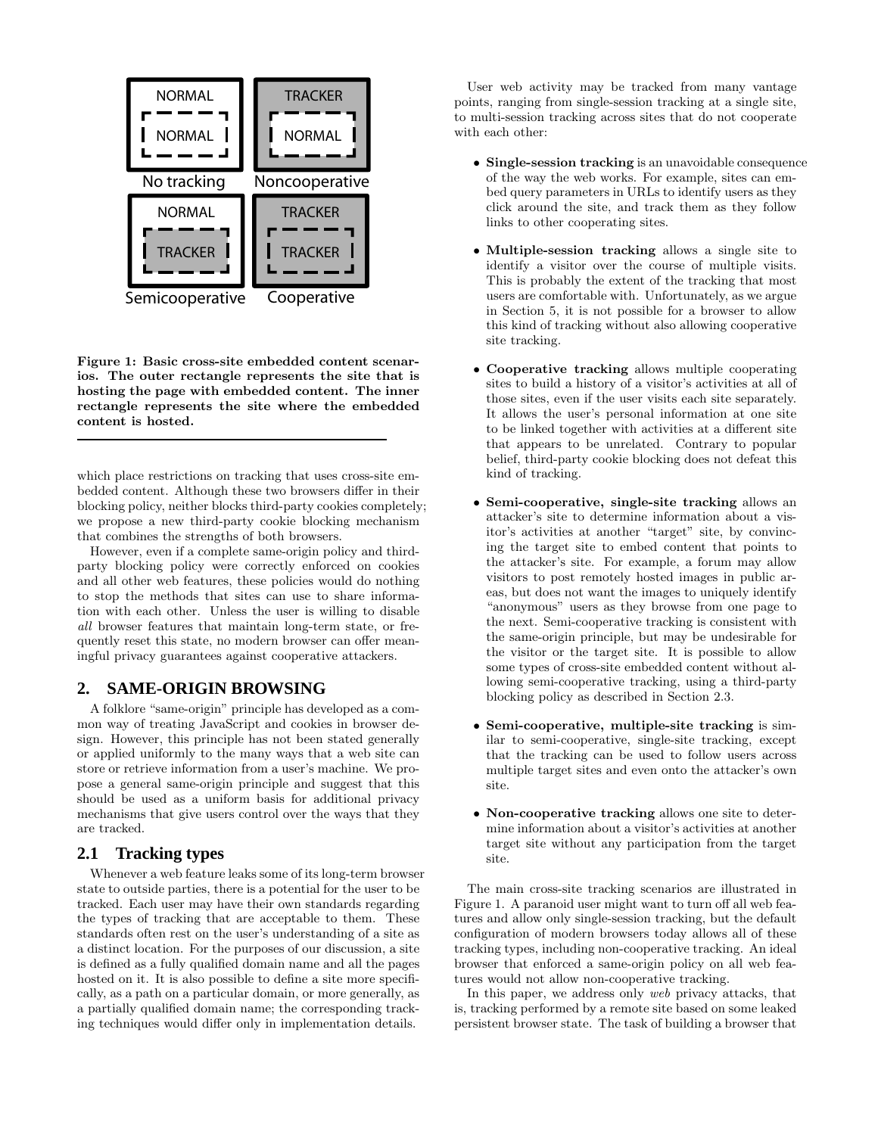

Figure 1: Basic cross-site embedded content scenarios. The outer rectangle represents the site that is hosting the page with embedded content. The inner rectangle represents the site where the embedded content is hosted.

which place restrictions on tracking that uses cross-site embedded content. Although these two browsers differ in their blocking policy, neither blocks third-party cookies completely; we propose a new third-party cookie blocking mechanism that combines the strengths of both browsers.

However, even if a complete same-origin policy and thirdparty blocking policy were correctly enforced on cookies and all other web features, these policies would do nothing to stop the methods that sites can use to share information with each other. Unless the user is willing to disable all browser features that maintain long-term state, or frequently reset this state, no modern browser can offer meaningful privacy guarantees against cooperative attackers.

# **2. SAME-ORIGIN BROWSING**

A folklore "same-origin" principle has developed as a common way of treating JavaScript and cookies in browser design. However, this principle has not been stated generally or applied uniformly to the many ways that a web site can store or retrieve information from a user's machine. We propose a general same-origin principle and suggest that this should be used as a uniform basis for additional privacy mechanisms that give users control over the ways that they are tracked.

## **2.1 Tracking types**

Whenever a web feature leaks some of its long-term browser state to outside parties, there is a potential for the user to be tracked. Each user may have their own standards regarding the types of tracking that are acceptable to them. These standards often rest on the user's understanding of a site as a distinct location. For the purposes of our discussion, a site is defined as a fully qualified domain name and all the pages hosted on it. It is also possible to define a site more specifically, as a path on a particular domain, or more generally, as a partially qualified domain name; the corresponding tracking techniques would differ only in implementation details.

User web activity may be tracked from many vantage points, ranging from single-session tracking at a single site, to multi-session tracking across sites that do not cooperate with each other:

- Single-session tracking is an unavoidable consequence of the way the web works. For example, sites can embed query parameters in URLs to identify users as they click around the site, and track them as they follow links to other cooperating sites.
- Multiple-session tracking allows a single site to identify a visitor over the course of multiple visits. This is probably the extent of the tracking that most users are comfortable with. Unfortunately, as we argue in Section 5, it is not possible for a browser to allow this kind of tracking without also allowing cooperative site tracking.
- Cooperative tracking allows multiple cooperating sites to build a history of a visitor's activities at all of those sites, even if the user visits each site separately. It allows the user's personal information at one site to be linked together with activities at a different site that appears to be unrelated. Contrary to popular belief, third-party cookie blocking does not defeat this kind of tracking.
- Semi-cooperative, single-site tracking allows an attacker's site to determine information about a visitor's activities at another "target" site, by convincing the target site to embed content that points to the attacker's site. For example, a forum may allow visitors to post remotely hosted images in public areas, but does not want the images to uniquely identify "anonymous" users as they browse from one page to the next. Semi-cooperative tracking is consistent with the same-origin principle, but may be undesirable for the visitor or the target site. It is possible to allow some types of cross-site embedded content without allowing semi-cooperative tracking, using a third-party blocking policy as described in Section 2.3.
- Semi-cooperative, multiple-site tracking is similar to semi-cooperative, single-site tracking, except that the tracking can be used to follow users across multiple target sites and even onto the attacker's own site.
- Non-cooperative tracking allows one site to determine information about a visitor's activities at another target site without any participation from the target site.

The main cross-site tracking scenarios are illustrated in Figure 1. A paranoid user might want to turn off all web features and allow only single-session tracking, but the default configuration of modern browsers today allows all of these tracking types, including non-cooperative tracking. An ideal browser that enforced a same-origin policy on all web features would not allow non-cooperative tracking.

In this paper, we address only web privacy attacks, that is, tracking performed by a remote site based on some leaked persistent browser state. The task of building a browser that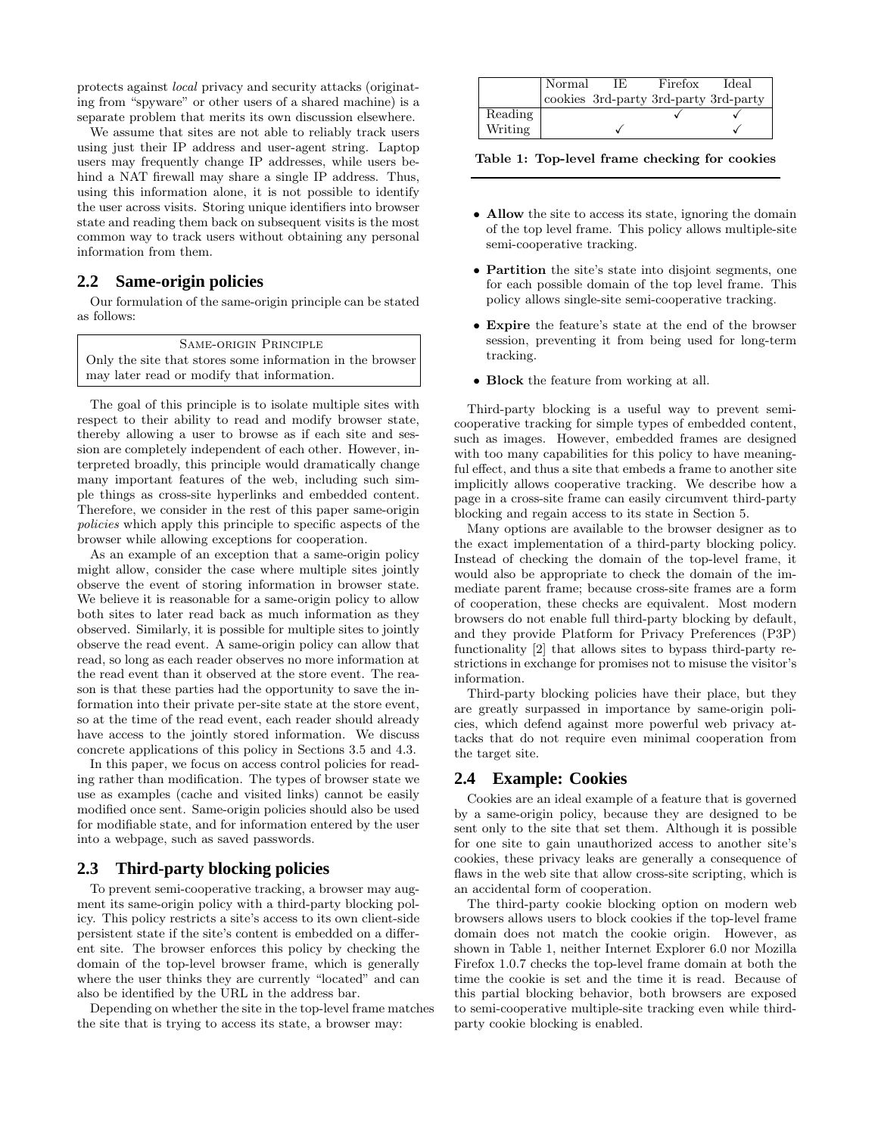protects against local privacy and security attacks (originating from "spyware" or other users of a shared machine) is a separate problem that merits its own discussion elsewhere.

We assume that sites are not able to reliably track users using just their IP address and user-agent string. Laptop users may frequently change IP addresses, while users behind a NAT firewall may share a single IP address. Thus, using this information alone, it is not possible to identify the user across visits. Storing unique identifiers into browser state and reading them back on subsequent visits is the most common way to track users without obtaining any personal information from them.

#### **2.2 Same-origin policies**

Our formulation of the same-origin principle can be stated as follows:

| <b>SAME-ORIGIN PRINCIPLE</b>                              |
|-----------------------------------------------------------|
| Only the site that stores some information in the browser |
| may later read or modify that information.                |

The goal of this principle is to isolate multiple sites with respect to their ability to read and modify browser state, thereby allowing a user to browse as if each site and session are completely independent of each other. However, interpreted broadly, this principle would dramatically change many important features of the web, including such simple things as cross-site hyperlinks and embedded content. Therefore, we consider in the rest of this paper same-origin policies which apply this principle to specific aspects of the browser while allowing exceptions for cooperation.

As an example of an exception that a same-origin policy might allow, consider the case where multiple sites jointly observe the event of storing information in browser state. We believe it is reasonable for a same-origin policy to allow both sites to later read back as much information as they observed. Similarly, it is possible for multiple sites to jointly observe the read event. A same-origin policy can allow that read, so long as each reader observes no more information at the read event than it observed at the store event. The reason is that these parties had the opportunity to save the information into their private per-site state at the store event, so at the time of the read event, each reader should already have access to the jointly stored information. We discuss concrete applications of this policy in Sections 3.5 and 4.3.

In this paper, we focus on access control policies for reading rather than modification. The types of browser state we use as examples (cache and visited links) cannot be easily modified once sent. Same-origin policies should also be used for modifiable state, and for information entered by the user into a webpage, such as saved passwords.

#### **2.3 Third-party blocking policies**

To prevent semi-cooperative tracking, a browser may augment its same-origin policy with a third-party blocking policy. This policy restricts a site's access to its own client-side persistent state if the site's content is embedded on a different site. The browser enforces this policy by checking the domain of the top-level browser frame, which is generally where the user thinks they are currently "located" and can also be identified by the URL in the address bar.

Depending on whether the site in the top-level frame matches the site that is trying to access its state, a browser may:

|         | Normal | IE.                                   | Firefox | Ideal |
|---------|--------|---------------------------------------|---------|-------|
|         |        | cookies 3rd-party 3rd-party 3rd-party |         |       |
| Reading |        |                                       |         |       |
| Writing |        |                                       |         |       |

Table 1: Top-level frame checking for cookies

- Allow the site to access its state, ignoring the domain of the top level frame. This policy allows multiple-site semi-cooperative tracking.
- Partition the site's state into disjoint segments, one for each possible domain of the top level frame. This policy allows single-site semi-cooperative tracking.
- Expire the feature's state at the end of the browser session, preventing it from being used for long-term tracking.
- Block the feature from working at all.

Third-party blocking is a useful way to prevent semicooperative tracking for simple types of embedded content, such as images. However, embedded frames are designed with too many capabilities for this policy to have meaningful effect, and thus a site that embeds a frame to another site implicitly allows cooperative tracking. We describe how a page in a cross-site frame can easily circumvent third-party blocking and regain access to its state in Section 5.

Many options are available to the browser designer as to the exact implementation of a third-party blocking policy. Instead of checking the domain of the top-level frame, it would also be appropriate to check the domain of the immediate parent frame; because cross-site frames are a form of cooperation, these checks are equivalent. Most modern browsers do not enable full third-party blocking by default, and they provide Platform for Privacy Preferences (P3P) functionality [2] that allows sites to bypass third-party restrictions in exchange for promises not to misuse the visitor's information.

Third-party blocking policies have their place, but they are greatly surpassed in importance by same-origin policies, which defend against more powerful web privacy attacks that do not require even minimal cooperation from the target site.

## **2.4 Example: Cookies**

Cookies are an ideal example of a feature that is governed by a same-origin policy, because they are designed to be sent only to the site that set them. Although it is possible for one site to gain unauthorized access to another site's cookies, these privacy leaks are generally a consequence of flaws in the web site that allow cross-site scripting, which is an accidental form of cooperation.

The third-party cookie blocking option on modern web browsers allows users to block cookies if the top-level frame domain does not match the cookie origin. However, as shown in Table 1, neither Internet Explorer 6.0 nor Mozilla Firefox 1.0.7 checks the top-level frame domain at both the time the cookie is set and the time it is read. Because of this partial blocking behavior, both browsers are exposed to semi-cooperative multiple-site tracking even while thirdparty cookie blocking is enabled.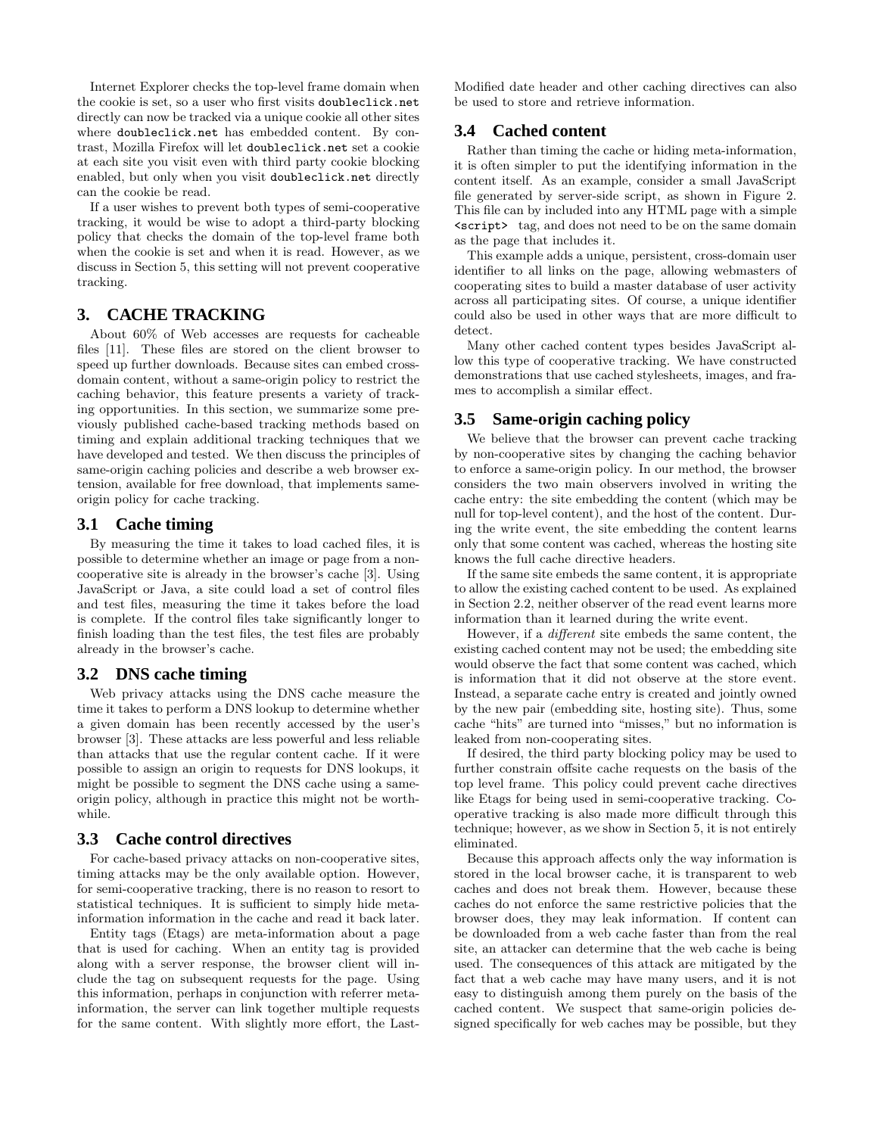Internet Explorer checks the top-level frame domain when the cookie is set, so a user who first visits doubleclick.net directly can now be tracked via a unique cookie all other sites where doubleclick.net has embedded content. By contrast, Mozilla Firefox will let doubleclick.net set a cookie at each site you visit even with third party cookie blocking enabled, but only when you visit doubleclick.net directly can the cookie be read.

If a user wishes to prevent both types of semi-cooperative tracking, it would be wise to adopt a third-party blocking policy that checks the domain of the top-level frame both when the cookie is set and when it is read. However, as we discuss in Section 5, this setting will not prevent cooperative tracking.

# **3. CACHE TRACKING**

About 60% of Web accesses are requests for cacheable files [11]. These files are stored on the client browser to speed up further downloads. Because sites can embed crossdomain content, without a same-origin policy to restrict the caching behavior, this feature presents a variety of tracking opportunities. In this section, we summarize some previously published cache-based tracking methods based on timing and explain additional tracking techniques that we have developed and tested. We then discuss the principles of same-origin caching policies and describe a web browser extension, available for free download, that implements sameorigin policy for cache tracking.

#### **3.1 Cache timing**

By measuring the time it takes to load cached files, it is possible to determine whether an image or page from a noncooperative site is already in the browser's cache [3]. Using JavaScript or Java, a site could load a set of control files and test files, measuring the time it takes before the load is complete. If the control files take significantly longer to finish loading than the test files, the test files are probably already in the browser's cache.

## **3.2 DNS cache timing**

Web privacy attacks using the DNS cache measure the time it takes to perform a DNS lookup to determine whether a given domain has been recently accessed by the user's browser [3]. These attacks are less powerful and less reliable than attacks that use the regular content cache. If it were possible to assign an origin to requests for DNS lookups, it might be possible to segment the DNS cache using a sameorigin policy, although in practice this might not be worthwhile.

#### **3.3 Cache control directives**

For cache-based privacy attacks on non-cooperative sites, timing attacks may be the only available option. However, for semi-cooperative tracking, there is no reason to resort to statistical techniques. It is sufficient to simply hide metainformation information in the cache and read it back later.

Entity tags (Etags) are meta-information about a page that is used for caching. When an entity tag is provided along with a server response, the browser client will include the tag on subsequent requests for the page. Using this information, perhaps in conjunction with referrer metainformation, the server can link together multiple requests for the same content. With slightly more effort, the LastModified date header and other caching directives can also be used to store and retrieve information.

#### **3.4 Cached content**

Rather than timing the cache or hiding meta-information, it is often simpler to put the identifying information in the content itself. As an example, consider a small JavaScript file generated by server-side script, as shown in Figure 2. This file can by included into any HTML page with a simple <script> tag, and does not need to be on the same domain as the page that includes it.

This example adds a unique, persistent, cross-domain user identifier to all links on the page, allowing webmasters of cooperating sites to build a master database of user activity across all participating sites. Of course, a unique identifier could also be used in other ways that are more difficult to detect.

Many other cached content types besides JavaScript allow this type of cooperative tracking. We have constructed demonstrations that use cached stylesheets, images, and frames to accomplish a similar effect.

#### **3.5 Same-origin caching policy**

We believe that the browser can prevent cache tracking by non-cooperative sites by changing the caching behavior to enforce a same-origin policy. In our method, the browser considers the two main observers involved in writing the cache entry: the site embedding the content (which may be null for top-level content), and the host of the content. During the write event, the site embedding the content learns only that some content was cached, whereas the hosting site knows the full cache directive headers.

If the same site embeds the same content, it is appropriate to allow the existing cached content to be used. As explained in Section 2.2, neither observer of the read event learns more information than it learned during the write event.

However, if a different site embeds the same content, the existing cached content may not be used; the embedding site would observe the fact that some content was cached, which is information that it did not observe at the store event. Instead, a separate cache entry is created and jointly owned by the new pair (embedding site, hosting site). Thus, some cache "hits" are turned into "misses," but no information is leaked from non-cooperating sites.

If desired, the third party blocking policy may be used to further constrain offsite cache requests on the basis of the top level frame. This policy could prevent cache directives like Etags for being used in semi-cooperative tracking. Cooperative tracking is also made more difficult through this technique; however, as we show in Section 5, it is not entirely eliminated.

Because this approach affects only the way information is stored in the local browser cache, it is transparent to web caches and does not break them. However, because these caches do not enforce the same restrictive policies that the browser does, they may leak information. If content can be downloaded from a web cache faster than from the real site, an attacker can determine that the web cache is being used. The consequences of this attack are mitigated by the fact that a web cache may have many users, and it is not easy to distinguish among them purely on the basis of the cached content. We suspect that same-origin policies designed specifically for web caches may be possible, but they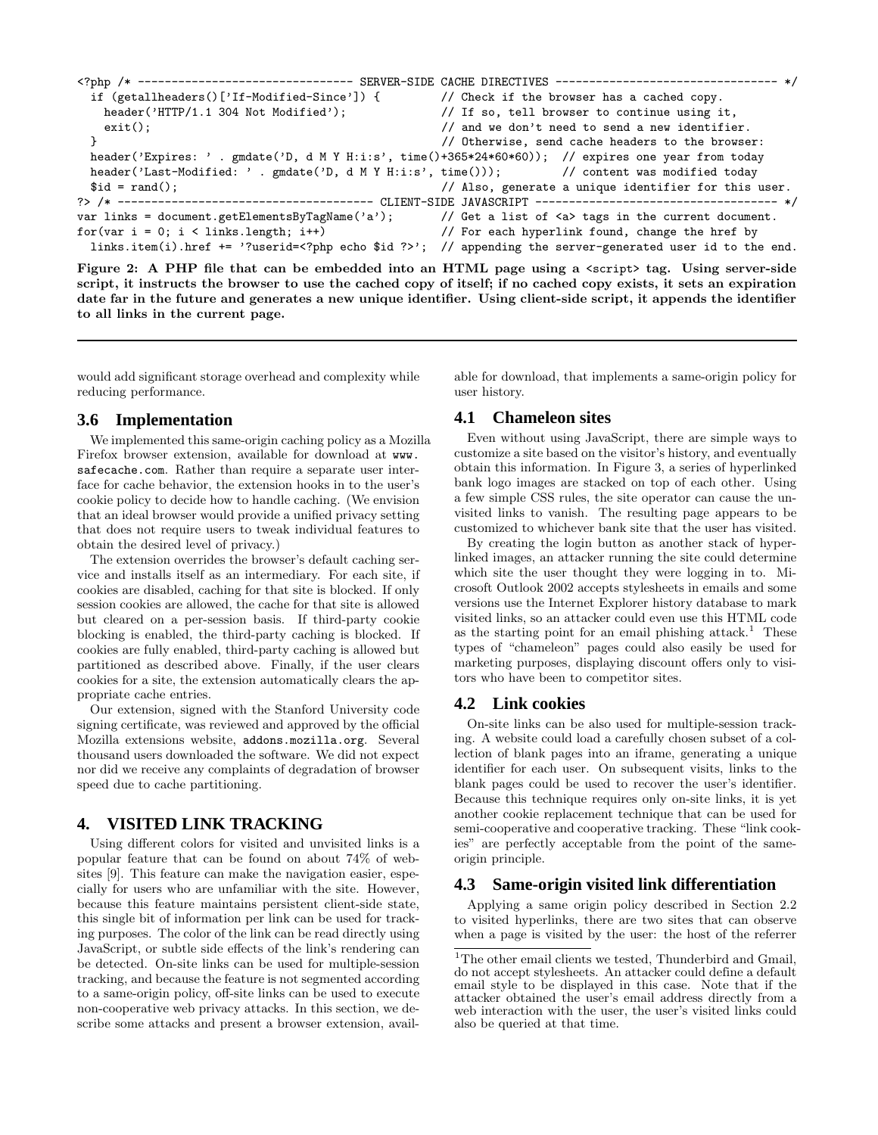```
<?php /* --------------------------------- SERVER-SIDE CACHE DIRECTIVES --------
 if (getallheaders()['If-Modified-Since']) { // Check if the browser has a cached copy.
   header('HTTP/1.1 304 Not Modified'); \frac{1}{15} so, tell browser to continue using it,
   exit(); \sqrt{2} and we don't need to send a new identifier.
 } // Otherwise, send cache headers to the browser:
 header('Expires: ' . gmdate('D, d M Y H:i:s', time()+365*24*60*60)); // expires one year from today
 header('Last-Modified: ' . gmdate('D, d M Y H:i:s', time())); // content was modified today
$id = rand(); // Also, generate a unique identifier for this user.
                             ?> /* -------------------------------------- CLIENT-SIDE JAVASCRIPT ------------------------------------ */
var links = document.getElementsByTagName('a'); // Get a list of <a> tags in the current document.
for(var i = 0; i < links.length; i++) // For each hyperlink found, change the href by
 links.item(i).href += '?userid=<?php echo $id ?>'; // appending the server-generated user id to the end.
```
Figure 2: A PHP file that can be embedded into an HTML page using a  $\langle$ script> tag. Using server-side script, it instructs the browser to use the cached copy of itself; if no cached copy exists, it sets an expiration date far in the future and generates a new unique identifier. Using client-side script, it appends the identifier to all links in the current page.

would add significant storage overhead and complexity while reducing performance.

#### **3.6 Implementation**

We implemented this same-origin caching policy as a Mozilla Firefox browser extension, available for download at www. safecache.com. Rather than require a separate user interface for cache behavior, the extension hooks in to the user's cookie policy to decide how to handle caching. (We envision that an ideal browser would provide a unified privacy setting that does not require users to tweak individual features to obtain the desired level of privacy.)

The extension overrides the browser's default caching service and installs itself as an intermediary. For each site, if cookies are disabled, caching for that site is blocked. If only session cookies are allowed, the cache for that site is allowed but cleared on a per-session basis. If third-party cookie blocking is enabled, the third-party caching is blocked. If cookies are fully enabled, third-party caching is allowed but partitioned as described above. Finally, if the user clears cookies for a site, the extension automatically clears the appropriate cache entries.

Our extension, signed with the Stanford University code signing certificate, was reviewed and approved by the official Mozilla extensions website, addons.mozilla.org. Several thousand users downloaded the software. We did not expect nor did we receive any complaints of degradation of browser speed due to cache partitioning.

## **4. VISITED LINK TRACKING**

Using different colors for visited and unvisited links is a popular feature that can be found on about 74% of websites [9]. This feature can make the navigation easier, especially for users who are unfamiliar with the site. However, because this feature maintains persistent client-side state, this single bit of information per link can be used for tracking purposes. The color of the link can be read directly using JavaScript, or subtle side effects of the link's rendering can be detected. On-site links can be used for multiple-session tracking, and because the feature is not segmented according to a same-origin policy, off-site links can be used to execute non-cooperative web privacy attacks. In this section, we describe some attacks and present a browser extension, available for download, that implements a same-origin policy for user history.

## **4.1 Chameleon sites**

Even without using JavaScript, there are simple ways to customize a site based on the visitor's history, and eventually obtain this information. In Figure 3, a series of hyperlinked bank logo images are stacked on top of each other. Using a few simple CSS rules, the site operator can cause the unvisited links to vanish. The resulting page appears to be customized to whichever bank site that the user has visited.

By creating the login button as another stack of hyperlinked images, an attacker running the site could determine which site the user thought they were logging in to. Microsoft Outlook 2002 accepts stylesheets in emails and some versions use the Internet Explorer history database to mark visited links, so an attacker could even use this HTML code as the starting point for an email phishing attack.<sup>1</sup> These types of "chameleon" pages could also easily be used for marketing purposes, displaying discount offers only to visitors who have been to competitor sites.

#### **4.2 Link cookies**

On-site links can be also used for multiple-session tracking. A website could load a carefully chosen subset of a collection of blank pages into an iframe, generating a unique identifier for each user. On subsequent visits, links to the blank pages could be used to recover the user's identifier. Because this technique requires only on-site links, it is yet another cookie replacement technique that can be used for semi-cooperative and cooperative tracking. These "link cookies" are perfectly acceptable from the point of the sameorigin principle.

#### **4.3 Same-origin visited link differentiation**

Applying a same origin policy described in Section 2.2 to visited hyperlinks, there are two sites that can observe when a page is visited by the user: the host of the referrer

<sup>&</sup>lt;sup>1</sup>The other email clients we tested, Thunderbird and Gmail, do not accept stylesheets. An attacker could define a default email style to be displayed in this case. Note that if the attacker obtained the user's email address directly from a web interaction with the user, the user's visited links could also be queried at that time.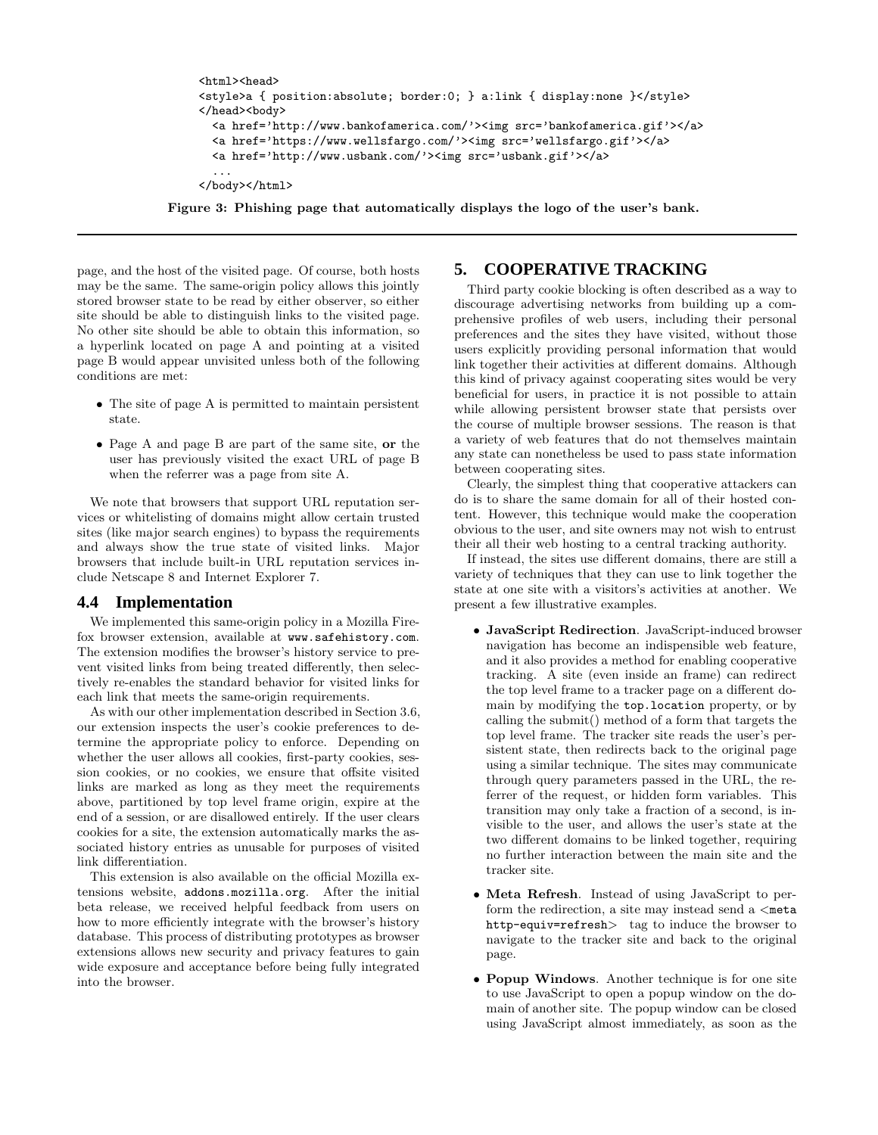```
<html><head>
<style>a { position:absolute; border:0; } a:link { display:none }</style>
</head><body>
 <a href='http://www.bankofamerica.com/'><img src='bankofamerica.gif'></a>
 <a href='https://www.wellsfargo.com/'><img src='wellsfargo.gif'></a>
 <a href='http://www.usbank.com/'><img src='usbank.gif'></a>
  ...
</body></html>
```
Figure 3: Phishing page that automatically displays the logo of the user's bank.

page, and the host of the visited page. Of course, both hosts may be the same. The same-origin policy allows this jointly stored browser state to be read by either observer, so either site should be able to distinguish links to the visited page. No other site should be able to obtain this information, so a hyperlink located on page A and pointing at a visited page B would appear unvisited unless both of the following conditions are met:

- The site of page A is permitted to maintain persistent state.
- Page A and page B are part of the same site, or the user has previously visited the exact URL of page B when the referrer was a page from site A.

We note that browsers that support URL reputation services or whitelisting of domains might allow certain trusted sites (like major search engines) to bypass the requirements and always show the true state of visited links. Major browsers that include built-in URL reputation services include Netscape 8 and Internet Explorer 7.

#### **4.4 Implementation**

We implemented this same-origin policy in a Mozilla Firefox browser extension, available at www.safehistory.com. The extension modifies the browser's history service to prevent visited links from being treated differently, then selectively re-enables the standard behavior for visited links for each link that meets the same-origin requirements.

As with our other implementation described in Section 3.6, our extension inspects the user's cookie preferences to determine the appropriate policy to enforce. Depending on whether the user allows all cookies, first-party cookies, session cookies, or no cookies, we ensure that offsite visited links are marked as long as they meet the requirements above, partitioned by top level frame origin, expire at the end of a session, or are disallowed entirely. If the user clears cookies for a site, the extension automatically marks the associated history entries as unusable for purposes of visited link differentiation.

This extension is also available on the official Mozilla extensions website, addons.mozilla.org. After the initial beta release, we received helpful feedback from users on how to more efficiently integrate with the browser's history database. This process of distributing prototypes as browser extensions allows new security and privacy features to gain wide exposure and acceptance before being fully integrated into the browser.

# **5. COOPERATIVE TRACKING**

Third party cookie blocking is often described as a way to discourage advertising networks from building up a comprehensive profiles of web users, including their personal preferences and the sites they have visited, without those users explicitly providing personal information that would link together their activities at different domains. Although this kind of privacy against cooperating sites would be very beneficial for users, in practice it is not possible to attain while allowing persistent browser state that persists over the course of multiple browser sessions. The reason is that a variety of web features that do not themselves maintain any state can nonetheless be used to pass state information between cooperating sites.

Clearly, the simplest thing that cooperative attackers can do is to share the same domain for all of their hosted content. However, this technique would make the cooperation obvious to the user, and site owners may not wish to entrust their all their web hosting to a central tracking authority.

If instead, the sites use different domains, there are still a variety of techniques that they can use to link together the state at one site with a visitors's activities at another. We present a few illustrative examples.

- JavaScript Redirection. JavaScript-induced browser navigation has become an indispensible web feature, and it also provides a method for enabling cooperative tracking. A site (even inside an frame) can redirect the top level frame to a tracker page on a different domain by modifying the top.location property, or by calling the submit() method of a form that targets the top level frame. The tracker site reads the user's persistent state, then redirects back to the original page using a similar technique. The sites may communicate through query parameters passed in the URL, the referrer of the request, or hidden form variables. This transition may only take a fraction of a second, is invisible to the user, and allows the user's state at the two different domains to be linked together, requiring no further interaction between the main site and the tracker site.
- Meta Refresh. Instead of using JavaScript to perform the redirection, a site may instead send a  $\leq$ meta http-equiv=refresh> tag to induce the browser to navigate to the tracker site and back to the original page.
- Popup Windows. Another technique is for one site to use JavaScript to open a popup window on the domain of another site. The popup window can be closed using JavaScript almost immediately, as soon as the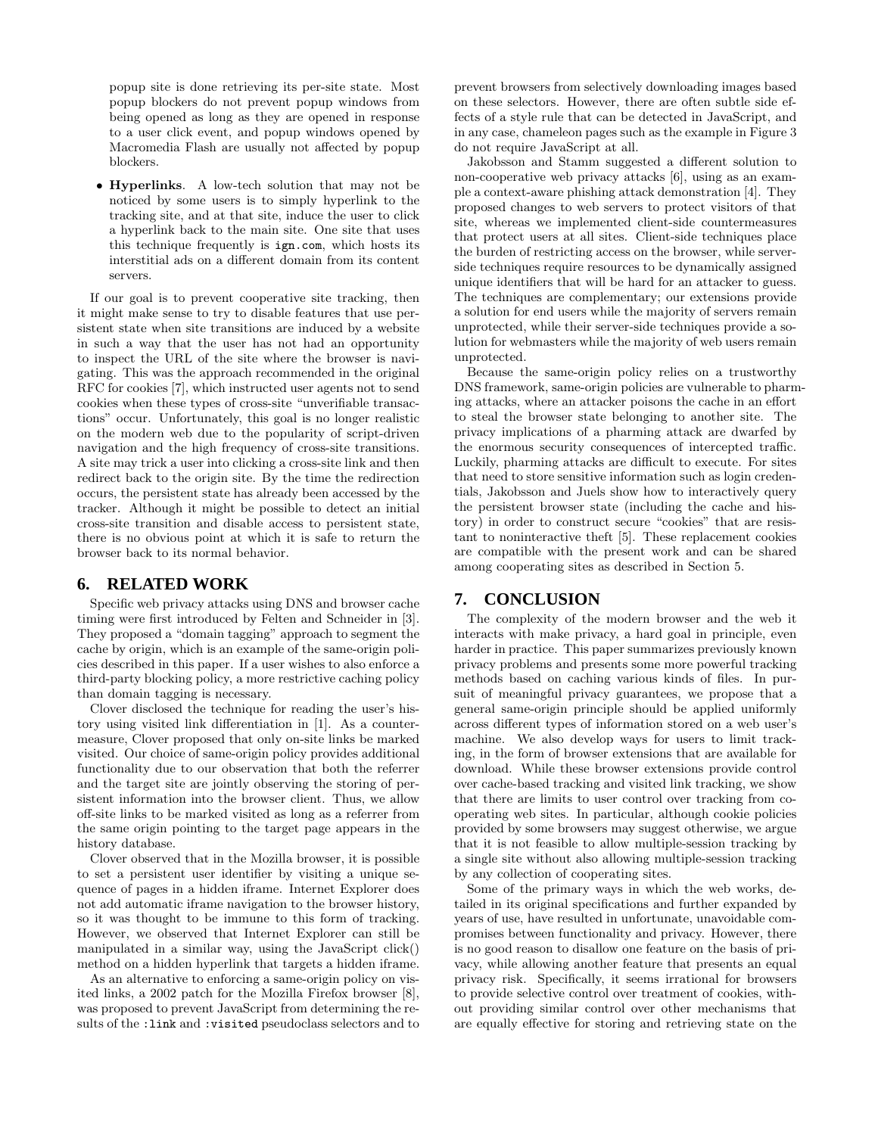popup site is done retrieving its per-site state. Most popup blockers do not prevent popup windows from being opened as long as they are opened in response to a user click event, and popup windows opened by Macromedia Flash are usually not affected by popup blockers.

• Hyperlinks. A low-tech solution that may not be noticed by some users is to simply hyperlink to the tracking site, and at that site, induce the user to click a hyperlink back to the main site. One site that uses this technique frequently is ign.com, which hosts its interstitial ads on a different domain from its content servers.

If our goal is to prevent cooperative site tracking, then it might make sense to try to disable features that use persistent state when site transitions are induced by a website in such a way that the user has not had an opportunity to inspect the URL of the site where the browser is navigating. This was the approach recommended in the original RFC for cookies [7], which instructed user agents not to send cookies when these types of cross-site "unverifiable transactions" occur. Unfortunately, this goal is no longer realistic on the modern web due to the popularity of script-driven navigation and the high frequency of cross-site transitions. A site may trick a user into clicking a cross-site link and then redirect back to the origin site. By the time the redirection occurs, the persistent state has already been accessed by the tracker. Although it might be possible to detect an initial cross-site transition and disable access to persistent state, there is no obvious point at which it is safe to return the browser back to its normal behavior.

# **6. RELATED WORK**

Specific web privacy attacks using DNS and browser cache timing were first introduced by Felten and Schneider in [3]. They proposed a "domain tagging" approach to segment the cache by origin, which is an example of the same-origin policies described in this paper. If a user wishes to also enforce a third-party blocking policy, a more restrictive caching policy than domain tagging is necessary.

Clover disclosed the technique for reading the user's history using visited link differentiation in [1]. As a countermeasure, Clover proposed that only on-site links be marked visited. Our choice of same-origin policy provides additional functionality due to our observation that both the referrer and the target site are jointly observing the storing of persistent information into the browser client. Thus, we allow off-site links to be marked visited as long as a referrer from the same origin pointing to the target page appears in the history database.

Clover observed that in the Mozilla browser, it is possible to set a persistent user identifier by visiting a unique sequence of pages in a hidden iframe. Internet Explorer does not add automatic iframe navigation to the browser history, so it was thought to be immune to this form of tracking. However, we observed that Internet Explorer can still be manipulated in a similar way, using the JavaScript click() method on a hidden hyperlink that targets a hidden iframe.

As an alternative to enforcing a same-origin policy on visited links, a 2002 patch for the Mozilla Firefox browser [8], was proposed to prevent JavaScript from determining the results of the :link and :visited pseudoclass selectors and to prevent browsers from selectively downloading images based on these selectors. However, there are often subtle side effects of a style rule that can be detected in JavaScript, and in any case, chameleon pages such as the example in Figure 3 do not require JavaScript at all.

Jakobsson and Stamm suggested a different solution to non-cooperative web privacy attacks [6], using as an example a context-aware phishing attack demonstration [4]. They proposed changes to web servers to protect visitors of that site, whereas we implemented client-side countermeasures that protect users at all sites. Client-side techniques place the burden of restricting access on the browser, while serverside techniques require resources to be dynamically assigned unique identifiers that will be hard for an attacker to guess. The techniques are complementary; our extensions provide a solution for end users while the majority of servers remain unprotected, while their server-side techniques provide a solution for webmasters while the majority of web users remain unprotected.

Because the same-origin policy relies on a trustworthy DNS framework, same-origin policies are vulnerable to pharming attacks, where an attacker poisons the cache in an effort to steal the browser state belonging to another site. The privacy implications of a pharming attack are dwarfed by the enormous security consequences of intercepted traffic. Luckily, pharming attacks are difficult to execute. For sites that need to store sensitive information such as login credentials, Jakobsson and Juels show how to interactively query the persistent browser state (including the cache and history) in order to construct secure "cookies" that are resistant to noninteractive theft [5]. These replacement cookies are compatible with the present work and can be shared among cooperating sites as described in Section 5.

# **7. CONCLUSION**

The complexity of the modern browser and the web it interacts with make privacy, a hard goal in principle, even harder in practice. This paper summarizes previously known privacy problems and presents some more powerful tracking methods based on caching various kinds of files. In pursuit of meaningful privacy guarantees, we propose that a general same-origin principle should be applied uniformly across different types of information stored on a web user's machine. We also develop ways for users to limit tracking, in the form of browser extensions that are available for download. While these browser extensions provide control over cache-based tracking and visited link tracking, we show that there are limits to user control over tracking from cooperating web sites. In particular, although cookie policies provided by some browsers may suggest otherwise, we argue that it is not feasible to allow multiple-session tracking by a single site without also allowing multiple-session tracking by any collection of cooperating sites.

Some of the primary ways in which the web works, detailed in its original specifications and further expanded by years of use, have resulted in unfortunate, unavoidable compromises between functionality and privacy. However, there is no good reason to disallow one feature on the basis of privacy, while allowing another feature that presents an equal privacy risk. Specifically, it seems irrational for browsers to provide selective control over treatment of cookies, without providing similar control over other mechanisms that are equally effective for storing and retrieving state on the